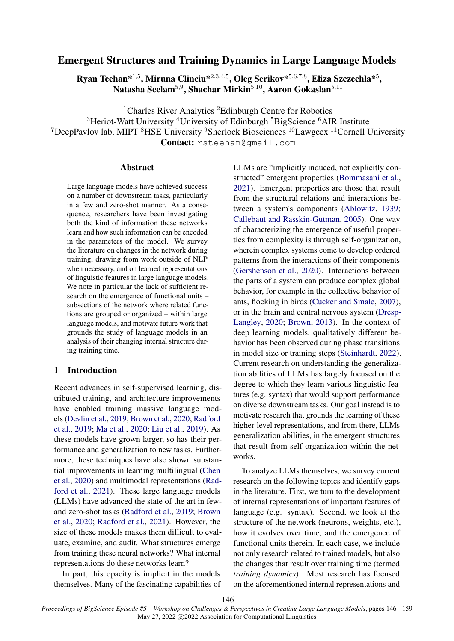# Emergent Structures and Training Dynamics in Large Language Models

Ryan Teehan $^{\ast1,5}$ , Miruna Clinciu $^{\ast2,3,4,5}$ , Oleg Serikov $^{\ast5,6,7,8}$ , Eliza Szczechla $^{\ast5}$ , Natasha Seelam $^{5,9}$ , Shachar Mirkin $^{5,10}$ , Aaron Gokaslan $^{5,11}$ 

<sup>1</sup>Charles River Analytics <sup>2</sup>Edinburgh Centre for Robotics

 $3$ Heriot-Watt University  $4$ University of Edinburgh  $5$ BigScience  $6$ AIR Institute <sup>7</sup>DeepPavlov lab, MIPT <sup>8</sup>HSE University <sup>9</sup>Sherlock Biosciences<sup>10</sup>Lawgeex<sup>11</sup>Cornell University Contact: rsteehan@gmail.com

#### Abstract

Large language models have achieved success on a number of downstream tasks, particularly in a few and zero-shot manner. As a consequence, researchers have been investigating both the kind of information these networks learn and how such information can be encoded in the parameters of the model. We survey the literature on changes in the network during training, drawing from work outside of NLP when necessary, and on learned representations of linguistic features in large language models. We note in particular the lack of sufficient research on the emergence of functional units – subsections of the network where related functions are grouped or organized – within large language models, and motivate future work that grounds the study of language models in an analysis of their changing internal structure during training time.

# 1 Introduction

Recent advances in self-supervised learning, distributed training, and architecture improvements have enabled training massive language models [\(Devlin et al.,](#page-9-0) [2019;](#page-9-0) [Brown et al.,](#page-8-0) [2020;](#page-8-0) [Radford](#page-12-0) [et al.,](#page-12-0) [2019;](#page-12-0) [Ma et al.,](#page-11-0) [2020;](#page-11-0) [Liu et al.,](#page-11-1) [2019\)](#page-11-1). As these models have grown larger, so has their performance and generalization to new tasks. Furthermore, these techniques have also shown substantial improvements in learning multilingual [\(Chen](#page-9-1) [et al.,](#page-9-1) [2020\)](#page-9-1) and multimodal representations [\(Rad](#page-11-2)[ford et al.,](#page-11-2) [2021\)](#page-11-2). These large language models (LLMs) have advanced the state of the art in fewand zero-shot tasks [\(Radford et al.,](#page-12-0) [2019;](#page-12-0) [Brown](#page-8-0) [et al.,](#page-8-0) [2020;](#page-8-0) [Radford et al.,](#page-11-2) [2021\)](#page-11-2). However, the size of these models makes them difficult to evaluate, examine, and audit. What structures emerge from training these neural networks? What internal representations do these networks learn?

In part, this opacity is implicit in the models themselves. Many of the fascinating capabilities of LLMs are "implicitly induced, not explicitly constructed" emergent properties [\(Bommasani et al.,](#page-8-1) [2021\)](#page-8-1). Emergent properties are those that result from the structural relations and interactions between a system's components [\(Ablowitz,](#page-8-2) [1939;](#page-8-2) [Callebaut and Rasskin-Gutman,](#page-9-2) [2005\)](#page-9-2). One way of characterizing the emergence of useful properties from complexity is through self-organization, wherein complex systems come to develop ordered patterns from the interactions of their components [\(Gershenson et al.,](#page-10-0) [2020\)](#page-10-0). Interactions between the parts of a system can produce complex global behavior, for example in the collective behavior of ants, flocking in birds [\(Cucker and Smale,](#page-9-3) [2007\)](#page-9-3), or in the brain and central nervous system [\(Dresp-](#page-10-1)[Langley,](#page-10-1) [2020;](#page-10-1) [Brown,](#page-8-3) [2013\)](#page-8-3). In the context of deep learning models, qualitatively different behavior has been observed during phase transitions in model size or training steps [\(Steinhardt,](#page-12-1) [2022\)](#page-12-1). Current research on understanding the generalization abilities of LLMs has largely focused on the degree to which they learn various linguistic features (e.g. syntax) that would support performance on diverse downstream tasks. Our goal instead is to motivate research that grounds the learning of these higher-level representations, and from there, LLMs generalization abilities, in the emergent structures that result from self-organization within the networks.

To analyze LLMs themselves, we survey current research on the following topics and identify gaps in the literature. First, we turn to the development of internal representations of important features of language (e.g. syntax). Second, we look at the structure of the network (neurons, weights, etc.), how it evolves over time, and the emergence of functional units therein. In each case, we include not only research related to trained models, but also the changes that result over training time (termed *training dynamics*). Most research has focused on the aforementioned internal representations and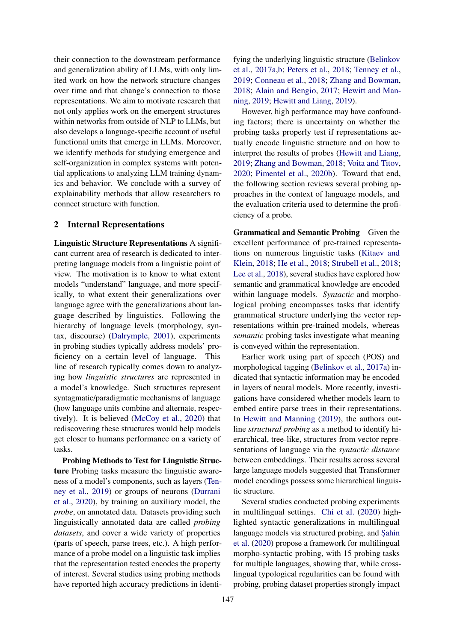their connection to the downstream performance and generalization ability of LLMs, with only limited work on how the network structure changes over time and that change's connection to those representations. We aim to motivate research that not only applies work on the emergent structures within networks from outside of NLP to LLMs, but also develops a language-specific account of useful functional units that emerge in LLMs. Moreover, we identify methods for studying emergence and self-organization in complex systems with potential applications to analyzing LLM training dynamics and behavior. We conclude with a survey of explainability methods that allow researchers to connect structure with function.

### <span id="page-1-0"></span>2 Internal Representations

Linguistic Structure Representations A significant current area of research is dedicated to interpreting language models from a linguistic point of view. The motivation is to know to what extent models "understand" language, and more specifically, to what extent their generalizations over language agree with the generalizations about language described by linguistics. Following the hierarchy of language levels (morphology, syntax, discourse) [\(Dalrymple,](#page-9-4) [2001\)](#page-9-4), experiments in probing studies typically address models' proficiency on a certain level of language. This line of research typically comes down to analyzing how *linguistic structures* are represented in a model's knowledge. Such structures represent syntagmatic/paradigmatic mechanisms of language (how language units combine and alternate, respectively). It is believed [\(McCoy et al.,](#page-11-3) [2020\)](#page-11-3) that rediscovering these structures would help models get closer to humans performance on a variety of tasks.

Probing Methods to Test for Linguistic Structure Probing tasks measure the linguistic awareness of a model's components, such as layers [\(Ten](#page-12-2)[ney et al.,](#page-12-2) [2019\)](#page-12-2) or groups of neurons [\(Durrani](#page-10-2) [et al.,](#page-10-2) [2020\)](#page-10-2), by training an auxiliary model, the *probe*, on annotated data. Datasets providing such linguistically annotated data are called *probing datasets*, and cover a wide variety of properties (parts of speech, parse trees, etc.). A high performance of a probe model on a linguistic task implies that the representation tested encodes the property of interest. Several studies using probing methods have reported high accuracy predictions in identifying the underlying linguistic structure [\(Belinkov](#page-8-4) [et al.,](#page-8-4) [2017a,](#page-8-4)[b;](#page-8-5) [Peters et al.,](#page-11-4) [2018;](#page-11-4) [Tenney et al.,](#page-12-2) [2019;](#page-12-2) [Conneau et al.,](#page-9-5) [2018;](#page-9-5) [Zhang and Bowman,](#page-13-0) [2018;](#page-13-0) [Alain and Bengio,](#page-8-6) [2017;](#page-8-6) [Hewitt and Man](#page-10-3)[ning,](#page-10-3) [2019;](#page-10-3) [Hewitt and Liang,](#page-10-4) [2019\)](#page-10-4).

However, high performance may have confounding factors; there is uncertainty on whether the probing tasks properly test if representations actually encode linguistic structure and on how to interpret the results of probes [\(Hewitt and Liang,](#page-10-4) [2019;](#page-10-4) [Zhang and Bowman,](#page-13-0) [2018;](#page-13-0) [Voita and Titov,](#page-12-3) [2020;](#page-12-3) [Pimentel et al.,](#page-11-5) [2020b\)](#page-11-5). Toward that end, the following section reviews several probing approaches in the context of language models, and the evaluation criteria used to determine the proficiency of a probe.

Grammatical and Semantic Probing Given the excellent performance of pre-trained representations on numerous linguistic tasks [\(Kitaev and](#page-10-5) [Klein,](#page-10-5) [2018;](#page-10-5) [He et al.,](#page-10-6) [2018;](#page-10-6) [Strubell et al.,](#page-12-4) [2018;](#page-12-4) [Lee et al.,](#page-10-7) [2018\)](#page-10-7), several studies have explored how semantic and grammatical knowledge are encoded within language models. *Syntactic* and morphological probing encompasses tasks that identify grammatical structure underlying the vector representations within pre-trained models, whereas *semantic* probing tasks investigate what meaning is conveyed within the representation.

Earlier work using part of speech (POS) and morphological tagging [\(Belinkov et al.,](#page-8-4) [2017a\)](#page-8-4) indicated that syntactic information may be encoded in layers of neural models. More recently, investigations have considered whether models learn to embed entire parse trees in their representations. In [Hewitt and Manning](#page-10-3) [\(2019\)](#page-10-3), the authors outline *structural probing* as a method to identify hierarchical, tree-like, structures from vector representations of language via the *syntactic distance* between embeddings. Their results across several large language models suggested that Transformer model encodings possess some hierarchical linguistic structure.

Several studies conducted probing experiments in multilingual settings. [Chi et al.](#page-9-6) [\(2020\)](#page-9-6) highlighted syntactic generalizations in multilingual language models via structured probing, and Şahin [et al.](#page-12-5) [\(2020\)](#page-12-5) propose a framework for multilingual morpho-syntactic probing, with 15 probing tasks for multiple languages, showing that, while crosslingual typological regularities can be found with probing, probing dataset properties strongly impact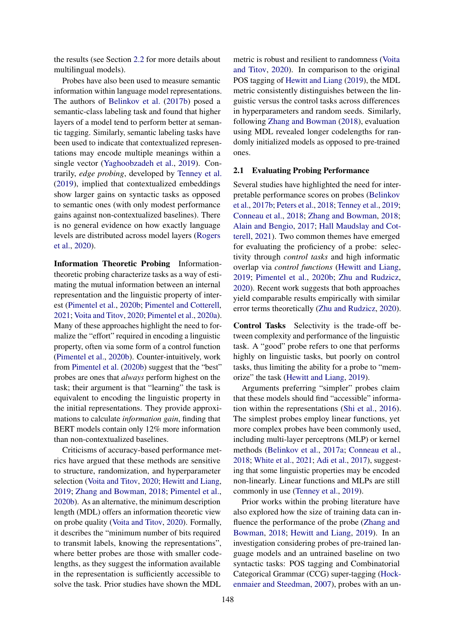the results (see Section [2.2](#page-3-0) for more details about multilingual models).

Probes have also been used to measure semantic information within language model representations. The authors of [Belinkov et al.](#page-8-5) [\(2017b\)](#page-8-5) posed a semantic-class labeling task and found that higher layers of a model tend to perform better at semantic tagging. Similarly, semantic labeling tasks have been used to indicate that contextualized representations may encode multiple meanings within a single vector [\(Yaghoobzadeh et al.,](#page-13-1) [2019\)](#page-13-1). Contrarily, *edge probing*, developed by [Tenney et al.](#page-12-2) [\(2019\)](#page-12-2), implied that contextualized embeddings show larger gains on syntactic tasks as opposed to semantic ones (with only modest performance gains against non-contextualized baselines). There is no general evidence on how exactly language levels are distributed across model layers [\(Rogers](#page-12-6) [et al.,](#page-12-6) [2020\)](#page-12-6).

Information Theoretic Probing Informationtheoretic probing characterize tasks as a way of estimating the mutual information between an internal representation and the linguistic property of interest [\(Pimentel et al.,](#page-11-5) [2020b;](#page-11-5) [Pimentel and Cotterell,](#page-11-6) [2021;](#page-11-6) [Voita and Titov,](#page-12-3) [2020;](#page-12-3) [Pimentel et al.,](#page-11-7) [2020a\)](#page-11-7). Many of these approaches highlight the need to formalize the "effort" required in encoding a linguistic property, often via some form of a control function [\(Pimentel et al.,](#page-11-5) [2020b\)](#page-11-5). Counter-intuitively, work from [Pimentel et al.](#page-11-5) [\(2020b\)](#page-11-5) suggest that the "best" probes are ones that *always* perform highest on the task; their argument is that "learning" the task is equivalent to encoding the linguistic property in the initial representations. They provide approximations to calculate *information gain*, finding that BERT models contain only 12% more information than non-contextualized baselines.

Criticisms of accuracy-based performance metrics have argued that these methods are sensitive to structure, randomization, and hyperparameter selection [\(Voita and Titov,](#page-12-3) [2020;](#page-12-3) [Hewitt and Liang,](#page-10-4) [2019;](#page-10-4) [Zhang and Bowman,](#page-13-0) [2018;](#page-13-0) [Pimentel et al.,](#page-11-5) [2020b\)](#page-11-5). As an alternative, the minimum description length (MDL) offers an information theoretic view on probe quality [\(Voita and Titov,](#page-12-3) [2020\)](#page-12-3). Formally, it describes the "minimum number of bits required to transmit labels, knowing the representations", where better probes are those with smaller codelengths, as they suggest the information available in the representation is sufficiently accessible to solve the task. Prior studies have shown the MDL

metric is robust and resilient to randomness [\(Voita](#page-12-3) [and Titov,](#page-12-3) [2020\)](#page-12-3). In comparison to the original POS tagging of [Hewitt and Liang](#page-10-4) [\(2019\)](#page-10-4), the MDL metric consistently distinguishes between the linguistic versus the control tasks across differences in hyperparameters and random seeds. Similarly, following [Zhang and Bowman](#page-13-0) [\(2018\)](#page-13-0), evaluation using MDL revealed longer codelengths for randomly initialized models as opposed to pre-trained ones.

## 2.1 Evaluating Probing Performance

Several studies have highlighted the need for interpretable performance scores on probes [\(Belinkov](#page-8-5) [et al.,](#page-8-5) [2017b;](#page-8-5) [Peters et al.,](#page-11-4) [2018;](#page-11-4) [Tenney et al.,](#page-12-2) [2019;](#page-12-2) [Conneau et al.,](#page-9-5) [2018;](#page-9-5) [Zhang and Bowman,](#page-13-0) [2018;](#page-13-0) [Alain and Bengio,](#page-8-6) [2017;](#page-8-6) [Hall Maudslay and Cot](#page-10-8)[terell,](#page-10-8) [2021\)](#page-10-8). Two common themes have emerged for evaluating the proficiency of a probe: selectivity through *control tasks* and high informatic overlap via *control functions* [\(Hewitt and Liang,](#page-10-4) [2019;](#page-10-4) [Pimentel et al.,](#page-11-5) [2020b;](#page-11-5) [Zhu and Rudzicz,](#page-13-2) [2020\)](#page-13-2). Recent work suggests that both approaches yield comparable results empirically with similar error terms theoretically [\(Zhu and Rudzicz,](#page-13-2) [2020\)](#page-13-2).

Control Tasks Selectivity is the trade-off between complexity and performance of the linguistic task. A "good" probe refers to one that performs highly on linguistic tasks, but poorly on control tasks, thus limiting the ability for a probe to "memorize" the task [\(Hewitt and Liang,](#page-10-4) [2019\)](#page-10-4).

Arguments preferring "simpler" probes claim that these models should find "accessible" information within the representations [\(Shi et al.,](#page-12-7) [2016\)](#page-12-7). The simplest probes employ linear functions, yet more complex probes have been commonly used, including multi-layer perceptrons (MLP) or kernel methods [\(Belinkov et al.,](#page-8-4) [2017a;](#page-8-4) [Conneau et al.,](#page-9-5) [2018;](#page-9-5) [White et al.,](#page-13-3) [2021;](#page-13-3) [Adi et al.,](#page-8-7) [2017\)](#page-8-7), suggesting that some linguistic properties may be encoded non-linearly. Linear functions and MLPs are still commonly in use [\(Tenney et al.,](#page-12-2) [2019\)](#page-12-2).

Prior works within the probing literature have also explored how the size of training data can influence the performance of the probe [\(Zhang and](#page-13-0) [Bowman,](#page-13-0) [2018;](#page-13-0) [Hewitt and Liang,](#page-10-4) [2019\)](#page-10-4). In an investigation considering probes of pre-trained language models and an untrained baseline on two syntactic tasks: POS tagging and Combinatorial Categorical Grammar (CCG) super-tagging [\(Hock](#page-10-9)[enmaier and Steedman,](#page-10-9) [2007\)](#page-10-9), probes with an un-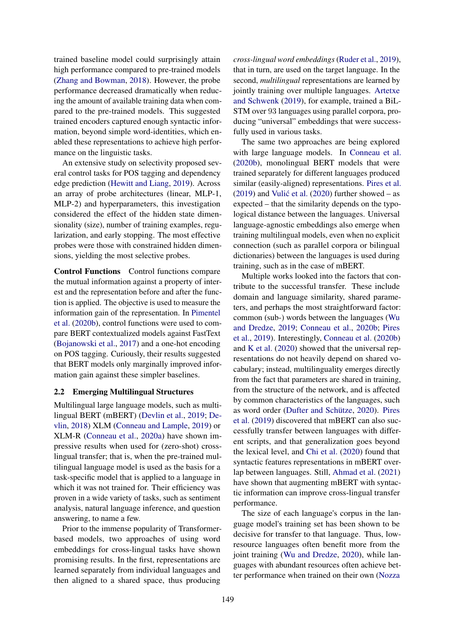trained baseline model could surprisingly attain high performance compared to pre-trained models [\(Zhang and Bowman,](#page-13-0) [2018\)](#page-13-0). However, the probe performance decreased dramatically when reducing the amount of available training data when compared to the pre-trained models. This suggested trained encoders captured enough syntactic information, beyond simple word-identities, which enabled these representations to achieve high performance on the linguistic tasks.

An extensive study on selectivity proposed several control tasks for POS tagging and dependency edge prediction [\(Hewitt and Liang,](#page-10-4) [2019\)](#page-10-4). Across an array of probe architectures (linear, MLP-1, MLP-2) and hyperparameters, this investigation considered the effect of the hidden state dimensionality (size), number of training examples, regularization, and early stopping. The most effective probes were those with constrained hidden dimensions, yielding the most selective probes.

Control Functions Control functions compare the mutual information against a property of interest and the representation before and after the function is applied. The objective is used to measure the information gain of the representation. In [Pimentel](#page-11-5) [et al.](#page-11-5) [\(2020b\)](#page-11-5), control functions were used to compare BERT contextualized models against FastText [\(Bojanowski et al.,](#page-8-8) [2017\)](#page-8-8) and a one-hot encoding on POS tagging. Curiously, their results suggested that BERT models only marginally improved information gain against these simpler baselines.

### <span id="page-3-0"></span>2.2 Emerging Multilingual Structures

Multilingual large language models, such as multilingual BERT (mBERT) [\(Devlin et al.,](#page-9-0) [2019;](#page-9-0) [De](#page-9-7)[vlin,](#page-9-7) [2018\)](#page-9-7) XLM [\(Conneau and Lample,](#page-9-8) [2019\)](#page-9-8) or XLM-R [\(Conneau et al.,](#page-9-9) [2020a\)](#page-9-9) have shown impressive results when used for (zero-shot) crosslingual transfer; that is, when the pre-trained multilingual language model is used as the basis for a task-specific model that is applied to a language in which it was not trained for. Their efficiency was proven in a wide variety of tasks, such as sentiment analysis, natural language inference, and question answering, to name a few.

Prior to the immense popularity of Transformerbased models, two approaches of using word embeddings for cross-lingual tasks have shown promising results. In the first, representations are learned separately from individual languages and then aligned to a shared space, thus producing

*cross-lingual word embeddings* [\(Ruder et al.,](#page-12-8) [2019\)](#page-12-8), that in turn, are used on the target language. In the second, *multilingual* representations are learned by jointly training over multiple languages. [Artetxe](#page-8-9) [and Schwenk](#page-8-9) [\(2019\)](#page-8-9), for example, trained a BiL-STM over 93 languages using parallel corpora, producing "universal" embeddings that were successfully used in various tasks.

The same two approaches are being explored with large language models. In [Conneau et al.](#page-9-10) [\(2020b\)](#page-9-10), monolingual BERT models that were trained separately for different languages produced similar (easily-aligned) representations. [Pires et al.](#page-11-8)  $(2019)$  and Vulić et al.  $(2020)$  further showed – as expected – that the similarity depends on the typological distance between the languages. Universal language-agnostic embeddings also emerge when training multilingual models, even when no explicit connection (such as parallel corpora or bilingual dictionaries) between the languages is used during training, such as in the case of mBERT.

Multiple works looked into the factors that contribute to the successful transfer. These include domain and language similarity, shared parameters, and perhaps the most straightforward factor: common (sub-) words between the languages [\(Wu](#page-13-5) [and Dredze,](#page-13-5) [2019;](#page-13-5) [Conneau et al.,](#page-9-10) [2020b;](#page-9-10) [Pires](#page-11-8) [et al.,](#page-11-8) [2019\)](#page-11-8). Interestingly, [Conneau et al.](#page-9-10) [\(2020b\)](#page-9-10) and [K et al.](#page-10-10) [\(2020\)](#page-10-10) showed that the universal representations do not heavily depend on shared vocabulary; instead, multilinguality emerges directly from the fact that parameters are shared in training, from the structure of the network, and is affected by common characteristics of the languages, such as word order [\(Dufter and Schütze,](#page-10-11) [2020\)](#page-10-11). [Pires](#page-11-8) [et al.](#page-11-8) [\(2019\)](#page-11-8) discovered that mBERT can also successfully transfer between languages with different scripts, and that generalization goes beyond the lexical level, and [Chi et al.](#page-9-6) [\(2020\)](#page-9-6) found that syntactic features representations in mBERT overlap between languages. Still, [Ahmad et al.](#page-8-10) [\(2021\)](#page-8-10) have shown that augmenting mBERT with syntactic information can improve cross-lingual transfer performance.

The size of each language's corpus in the language model's training set has been shown to be decisive for transfer to that language. Thus, lowresource languages often benefit more from the joint training [\(Wu and Dredze,](#page-13-6) [2020\)](#page-13-6), while languages with abundant resources often achieve better performance when trained on their own [\(Nozza](#page-11-9)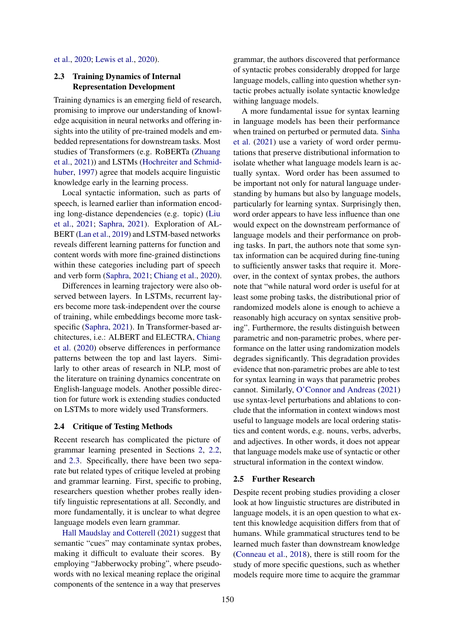#### [et al.,](#page-11-9) [2020;](#page-11-9) [Lewis et al.,](#page-11-10) [2020\)](#page-11-10).

## <span id="page-4-0"></span>2.3 Training Dynamics of Internal Representation Development

Training dynamics is an emerging field of research, promising to improve our understanding of knowledge acquisition in neural networks and offering insights into the utility of pre-trained models and embedded representations for downstream tasks. Most studies of Transformers (e.g. RoBERTa [\(Zhuang](#page-13-7) [et al.,](#page-13-7) [2021\)](#page-13-7)) and LSTMs [\(Hochreiter and Schmid](#page-10-12)[huber,](#page-10-12) [1997\)](#page-10-12) agree that models acquire linguistic knowledge early in the learning process.

Local syntactic information, such as parts of speech, is learned earlier than information encoding long-distance dependencies (e.g. topic) [\(Liu](#page-11-11) [et al.,](#page-11-11) [2021;](#page-11-11) [Saphra,](#page-12-9) [2021\)](#page-12-9). Exploration of AL-BERT [\(Lan et al.,](#page-10-13) [2019\)](#page-10-13) and LSTM-based networks reveals different learning patterns for function and content words with more fine-grained distinctions within these categories including part of speech and verb form [\(Saphra,](#page-12-9) [2021;](#page-12-9) [Chiang et al.,](#page-9-11) [2020\)](#page-9-11).

Differences in learning trajectory were also observed between layers. In LSTMs, recurrent layers become more task-independent over the course of training, while embeddings become more taskspecific [\(Saphra,](#page-12-9) [2021\)](#page-12-9). In Transformer-based architectures, i.e.: ALBERT and ELECTRA, [Chiang](#page-9-11) [et al.](#page-9-11) [\(2020\)](#page-9-11) observe differences in performance patterns between the top and last layers. Similarly to other areas of research in NLP, most of the literature on training dynamics concentrate on English-language models. Another possible direction for future work is extending studies conducted on LSTMs to more widely used Transformers.

#### 2.4 Critique of Testing Methods

Recent research has complicated the picture of grammar learning presented in Sections [2,](#page-1-0) [2.2,](#page-3-0) and [2.3.](#page-4-0) Specifically, there have been two separate but related types of critique leveled at probing and grammar learning. First, specific to probing, researchers question whether probes really identify linguistic representations at all. Secondly, and more fundamentally, it is unclear to what degree language models even learn grammar.

[Hall Maudslay and Cotterell](#page-10-8) [\(2021\)](#page-10-8) suggest that semantic "cues" may contaminate syntax probes, making it difficult to evaluate their scores. By employing "Jabberwocky probing", where pseudowords with no lexical meaning replace the original components of the sentence in a way that preserves

grammar, the authors discovered that performance of syntactic probes considerably dropped for large language models, calling into question whether syntactic probes actually isolate syntactic knowledge withing language models.

A more fundamental issue for syntax learning in language models has been their performance when trained on perturbed or permuted data. [Sinha](#page-12-10) [et al.](#page-12-10) [\(2021\)](#page-12-10) use a variety of word order permutations that preserve distributional information to isolate whether what language models learn is actually syntax. Word order has been assumed to be important not only for natural language understanding by humans but also by language models, particularly for learning syntax. Surprisingly then, word order appears to have less influence than one would expect on the downstream performance of language models and their performance on probing tasks. In part, the authors note that some syntax information can be acquired during fine-tuning to sufficiently answer tasks that require it. Moreover, in the context of syntax probes, the authors note that "while natural word order is useful for at least some probing tasks, the distributional prior of randomized models alone is enough to achieve a reasonably high accuracy on syntax sensitive probing". Furthermore, the results distinguish between parametric and non-parametric probes, where performance on the latter using randomization models degrades significantly. This degradation provides evidence that non-parametric probes are able to test for syntax learning in ways that parametric probes cannot. Similarly, [O'Connor and Andreas](#page-11-12) [\(2021\)](#page-11-12) use syntax-level perturbations and ablations to conclude that the information in context windows most useful to language models are local ordering statistics and content words, e.g. nouns, verbs, adverbs, and adjectives. In other words, it does not appear that language models make use of syntactic or other structural information in the context window.

### 2.5 Further Research

Despite recent probing studies providing a closer look at how linguistic structures are distributed in language models, it is an open question to what extent this knowledge acquisition differs from that of humans. While grammatical structures tend to be learned much faster than downstream knowledge [\(Conneau et al.,](#page-9-5) [2018\)](#page-9-5), there is still room for the study of more specific questions, such as whether models require more time to acquire the grammar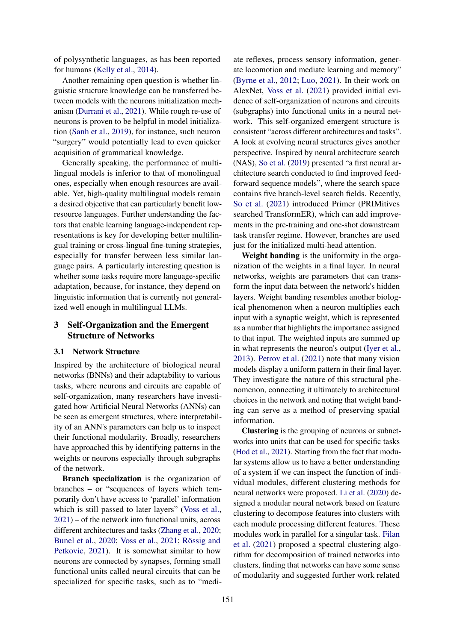of polysynthetic languages, as has been reported for humans [\(Kelly et al.,](#page-10-14) [2014\)](#page-10-14).

Another remaining open question is whether linguistic structure knowledge can be transferred between models with the neurons initialization mechanism [\(Durrani et al.,](#page-10-15) [2021\)](#page-10-15). While rough re-use of neurons is proven to be helpful in model initialization [\(Sanh et al.,](#page-12-11) [2019\)](#page-12-11), for instance, such neuron "surgery" would potentially lead to even quicker acquisition of grammatical knowledge.

Generally speaking, the performance of multilingual models is inferior to that of monolingual ones, especially when enough resources are available. Yet, high-quality multilingual models remain a desired objective that can particularly benefit lowresource languages. Further understanding the factors that enable learning language-independent representations is key for developing better multilingual training or cross-lingual fine-tuning strategies, especially for transfer between less similar language pairs. A particularly interesting question is whether some tasks require more language-specific adaptation, because, for instance, they depend on linguistic information that is currently not generalized well enough in multilingual LLMs.

# 3 Self-Organization and the Emergent Structure of Networks

### 3.1 Network Structure

Inspired by the architecture of biological neural networks (BNNs) and their adaptability to various tasks, where neurons and circuits are capable of self-organization, many researchers have investigated how Artificial Neural Networks (ANNs) can be seen as emergent structures, where interpretability of an ANN's parameters can help us to inspect their functional modularity. Broadly, researchers have approached this by identifying patterns in the weights or neurons especially through subgraphs of the network.

Branch specialization is the organization of branches – or "sequences of layers which temporarily don't have access to 'parallel' information which is still passed to later layers" [\(Voss et al.,](#page-13-8) [2021\)](#page-13-8) – of the network into functional units, across different architectures and tasks [\(Zhang et al.,](#page-13-9) [2020;](#page-13-9) [Bunel et al.,](#page-9-12) [2020;](#page-9-12) [Voss et al.,](#page-13-8) [2021;](#page-13-8) [Rössig and](#page-12-12) [Petkovic,](#page-12-12) [2021\)](#page-12-12). It is somewhat similar to how neurons are connected by synapses, forming small functional units called neural circuits that can be specialized for specific tasks, such as to "mediate reflexes, process sensory information, generate locomotion and mediate learning and memory" [\(Byrne et al.,](#page-9-13) [2012;](#page-9-13) [Luo,](#page-11-13) [2021\)](#page-11-13). In their work on AlexNet, [Voss et al.](#page-13-8) [\(2021\)](#page-13-8) provided initial evidence of self-organization of neurons and circuits (subgraphs) into functional units in a neural network. This self-organized emergent structure is consistent "across different architectures and tasks". A look at evolving neural structures gives another perspective. Inspired by neural architecture search (NAS), [So et al.](#page-12-13) [\(2019\)](#page-12-13) presented "a first neural architecture search conducted to find improved feedforward sequence models", where the search space contains five branch-level search fields. Recently, [So et al.](#page-12-14) [\(2021\)](#page-12-14) introduced Primer (PRIMitives searched TransformER), which can add improvements in the pre-training and one-shot downstream task transfer regime. However, branches are used just for the initialized multi-head attention.

Weight banding is the uniformity in the organization of the weights in a final layer. In neural networks, weights are parameters that can transform the input data between the network's hidden layers. Weight banding resembles another biological phenomenon when a neuron multiplies each input with a synaptic weight, which is represented as a number that highlights the importance assigned to that input. The weighted inputs are summed up in what represents the neuron's output [\(Iyer et al.,](#page-10-16) [2013\)](#page-10-16). [Petrov et al.](#page-11-14) [\(2021\)](#page-11-14) note that many vision models display a uniform pattern in their final layer. They investigate the nature of this structural phenomenon, connecting it ultimately to architectural choices in the network and noting that weight banding can serve as a method of preserving spatial information.

Clustering is the grouping of neurons or subnetworks into units that can be used for specific tasks [\(Hod et al.,](#page-10-17) [2021\)](#page-10-17). Starting from the fact that modular systems allow us to have a better understanding of a system if we can inspect the function of individual modules, different clustering methods for neural networks were proposed. [Li et al.](#page-11-15) [\(2020\)](#page-11-15) designed a modular neural network based on feature clustering to decompose features into clusters with each module processing different features. These modules work in parallel for a singular task. [Filan](#page-10-18) [et al.](#page-10-18) [\(2021\)](#page-10-18) proposed a spectral clustering algorithm for decomposition of trained networks into clusters, finding that networks can have some sense of modularity and suggested further work related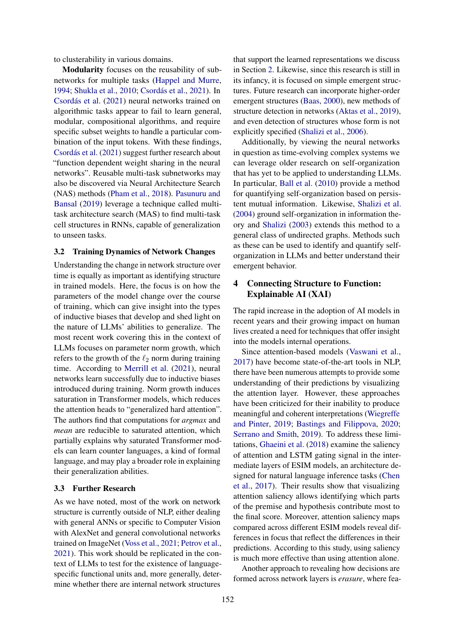to clusterability in various domains.

Modularity focuses on the reusability of subnetworks for multiple tasks [\(Happel and Murre,](#page-10-19) [1994;](#page-10-19) [Shukla et al.,](#page-12-15) [2010;](#page-12-15) [Csordás et al.,](#page-9-14) [2021\)](#page-9-14). In [Csordás et al.](#page-9-14) [\(2021\)](#page-9-14) neural networks trained on algorithmic tasks appear to fail to learn general, modular, compositional algorithms, and require specific subset weights to handle a particular combination of the input tokens. With these findings, [Csordás et al.](#page-9-14) [\(2021\)](#page-9-14) suggest further research about "function dependent weight sharing in the neural networks". Reusable multi-task subnetworks may also be discovered via Neural Architecture Search (NAS) methods [\(Pham et al.,](#page-11-16) [2018\)](#page-11-16). [Pasunuru and](#page-11-17) [Bansal](#page-11-17) [\(2019\)](#page-11-17) leverage a technique called multitask architecture search (MAS) to find multi-task cell structures in RNNs, capable of generalization to unseen tasks.

#### 3.2 Training Dynamics of Network Changes

Understanding the change in network structure over time is equally as important as identifying structure in trained models. Here, the focus is on how the parameters of the model change over the course of training, which can give insight into the types of inductive biases that develop and shed light on the nature of LLMs' abilities to generalize. The most recent work covering this in the context of LLMs focuses on parameter norm growth, which refers to the growth of the  $\ell_2$  norm during training time. According to [Merrill et al.](#page-11-18) [\(2021\)](#page-11-18), neural networks learn successfully due to inductive biases introduced during training. Norm growth induces saturation in Transformer models, which reduces the attention heads to "generalized hard attention". The authors find that computations for *argmax* and *mean* are reducible to saturated attention, which partially explains why saturated Transformer models can learn counter languages, a kind of formal language, and may play a broader role in explaining their generalization abilities.

## 3.3 Further Research

As we have noted, most of the work on network structure is currently outside of NLP, either dealing with general ANNs or specific to Computer Vision with AlexNet and general convolutional networks trained on ImageNet [\(Voss et al.,](#page-13-8) [2021;](#page-13-8) [Petrov et al.,](#page-11-14) [2021\)](#page-11-14). This work should be replicated in the context of LLMs to test for the existence of languagespecific functional units and, more generally, determine whether there are internal network structures

that support the learned representations we discuss in Section [2.](#page-1-0) Likewise, since this research is still in its infancy, it is focused on simple emergent structures. Future research can incorporate higher-order emergent structures [\(Baas,](#page-8-11) [2000\)](#page-8-11), new methods of structure detection in networks [\(Aktas et al.,](#page-8-12) [2019\)](#page-8-12), and even detection of structures whose form is not explicitly specified [\(Shalizi et al.,](#page-12-16) [2006\)](#page-12-16).

Additionally, by viewing the neural networks in question as time-evolving complex systems we can leverage older research on self-organization that has yet to be applied to understanding LLMs. In particular, [Ball et al.](#page-8-13) [\(2010\)](#page-8-13) provide a method for quantifying self-organization based on persistent mutual information. Likewise, [Shalizi et al.](#page-12-17) [\(2004\)](#page-12-17) ground self-organization in information theory and [Shalizi](#page-12-18) [\(2003\)](#page-12-18) extends this method to a general class of undirected graphs. Methods such as these can be used to identify and quantify selforganization in LLMs and better understand their emergent behavior.

# 4 Connecting Structure to Function: Explainable AI (XAI)

The rapid increase in the adoption of AI models in recent years and their growing impact on human lives created a need for techniques that offer insight into the models internal operations.

Since attention-based models [\(Vaswani et al.,](#page-12-19) [2017\)](#page-12-19) have become state-of-the-art tools in NLP, there have been numerous attempts to provide some understanding of their predictions by visualizing the attention layer. However, these approaches have been criticized for their inability to produce meaningful and coherent interpretations [\(Wiegreffe](#page-13-10) [and Pinter,](#page-13-10) [2019;](#page-13-10) [Bastings and Filippova,](#page-8-14) [2020;](#page-8-14) [Serrano and Smith,](#page-12-20) [2019\)](#page-12-20). To address these limitations, [Ghaeini et al.](#page-10-20) [\(2018\)](#page-10-20) examine the saliency of attention and LSTM gating signal in the intermediate layers of ESIM models, an architecture designed for natural language inference tasks [\(Chen](#page-9-15) [et al.,](#page-9-15) [2017\)](#page-9-15). Their results show that visualizing attention saliency allows identifying which parts of the premise and hypothesis contribute most to the final score. Moreover, attention saliency maps compared across different ESIM models reveal differences in focus that reflect the differences in their predictions. According to this study, using saliency is much more effective than using attention alone.

Another approach to revealing how decisions are formed across network layers is *erasure*, where fea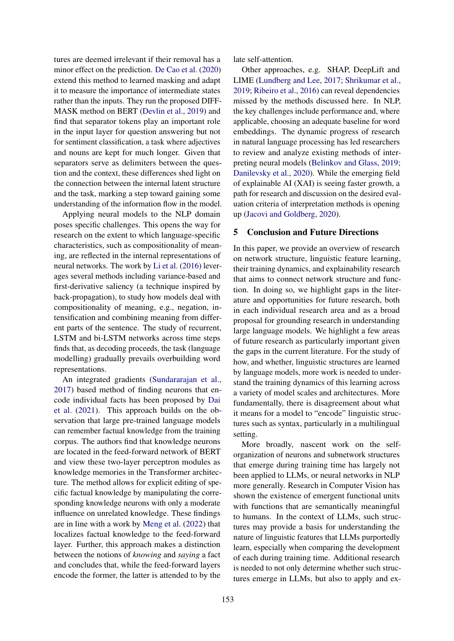tures are deemed irrelevant if their removal has a minor effect on the prediction. [De Cao et al.](#page-9-16) [\(2020\)](#page-9-16) extend this method to learned masking and adapt it to measure the importance of intermediate states rather than the inputs. They run the proposed DIFF-MASK method on BERT [\(Devlin et al.,](#page-9-0) [2019\)](#page-9-0) and find that separator tokens play an important role in the input layer for question answering but not for sentiment classification, a task where adjectives and nouns are kept for much longer. Given that separators serve as delimiters between the question and the context, these differences shed light on the connection between the internal latent structure and the task, marking a step toward gaining some understanding of the information flow in the model.

Applying neural models to the NLP domain poses specific challenges. This opens the way for research on the extent to which language-specific characteristics, such as compositionality of meaning, are reflected in the internal representations of neural networks. The work by [Li et al.](#page-11-19) [\(2016\)](#page-11-19) leverages several methods including variance-based and first-derivative saliency (a technique inspired by back-propagation), to study how models deal with compositionality of meaning, e.g., negation, intensification and combining meaning from different parts of the sentence. The study of recurrent, LSTM and bi-LSTM networks across time steps finds that, as decoding proceeds, the task (language modelling) gradually prevails overbuilding word representations.

An integrated gradients [\(Sundararajan et al.,](#page-12-21) [2017\)](#page-12-21) based method of finding neurons that encode individual facts has been proposed by [Dai](#page-9-17) [et al.](#page-9-17) [\(2021\)](#page-9-17). This approach builds on the observation that large pre-trained language models can remember factual knowledge from the training corpus. The authors find that knowledge neurons are located in the feed-forward network of BERT and view these two-layer perceptron modules as knowledge memories in the Transformer architecture. The method allows for explicit editing of specific factual knowledge by manipulating the corresponding knowledge neurons with only a moderate influence on unrelated knowledge. These findings are in line with a work by [Meng et al.](#page-11-20) [\(2022\)](#page-11-20) that localizes factual knowledge to the feed-forward layer. Further, this approach makes a distinction between the notions of *knowing* and *saying* a fact and concludes that, while the feed-forward layers encode the former, the latter is attended to by the

late self-attention.

Other approaches, e.g. SHAP, DeepLift and LIME [\(Lundberg and Lee,](#page-11-21) [2017;](#page-11-21) [Shrikumar et al.,](#page-12-22) [2019;](#page-12-22) [Ribeiro et al.,](#page-12-23) [2016\)](#page-12-23) can reveal dependencies missed by the methods discussed here. In NLP, the key challenges include performance and, where applicable, choosing an adequate baseline for word embeddings. The dynamic progress of research in natural language processing has led researchers to review and analyze existing methods of interpreting neural models [\(Belinkov and Glass,](#page-8-15) [2019;](#page-8-15) [Danilevsky et al.,](#page-9-18) [2020\)](#page-9-18). While the emerging field of explainable AI (XAI) is seeing faster growth, a path for research and discussion on the desired evaluation criteria of interpretation methods is opening up [\(Jacovi and Goldberg,](#page-10-21) [2020\)](#page-10-21).

# 5 Conclusion and Future Directions

In this paper, we provide an overview of research on network structure, linguistic feature learning, their training dynamics, and explainability research that aims to connect network structure and function. In doing so, we highlight gaps in the literature and opportunities for future research, both in each individual research area and as a broad proposal for grounding research in understanding large language models. We highlight a few areas of future research as particularly important given the gaps in the current literature. For the study of how, and whether, linguistic structures are learned by language models, more work is needed to understand the training dynamics of this learning across a variety of model scales and architectures. More fundamentally, there is disagreement about what it means for a model to "encode" linguistic structures such as syntax, particularly in a multilingual setting.

More broadly, nascent work on the selforganization of neurons and subnetwork structures that emerge during training time has largely not been applied to LLMs, or neural networks in NLP more generally. Research in Computer Vision has shown the existence of emergent functional units with functions that are semantically meaningful to humans. In the context of LLMs, such structures may provide a basis for understanding the nature of linguistic features that LLMs purportedly learn, especially when comparing the development of each during training time. Additional research is needed to not only determine whether such structures emerge in LLMs, but also to apply and ex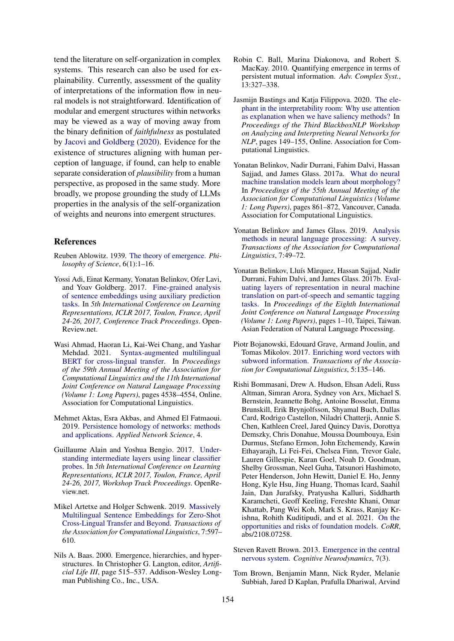tend the literature on self-organization in complex systems. This research can also be used for explainability. Currently, assessment of the quality of interpretations of the information flow in neural models is not straightforward. Identification of modular and emergent structures within networks may be viewed as a way of moving away from the binary definition of *faithfulness* as postulated by [Jacovi and Goldberg](#page-10-21) [\(2020\)](#page-10-21). Evidence for the existence of structures aligning with human perception of language, if found, can help to enable separate consideration of *plausibility* from a human perspective, as proposed in the same study. More broadly, we propose grounding the study of LLMs properties in the analysis of the self-organization of weights and neurons into emergent structures.

### References

- <span id="page-8-2"></span>Reuben Ablowitz. 1939. [The theory of emergence.](http://www.jstor.org/stable/184327) *Philosophy of Science*, 6(1):1–16.
- <span id="page-8-7"></span>Yossi Adi, Einat Kermany, Yonatan Belinkov, Ofer Lavi, and Yoav Goldberg. 2017. [Fine-grained analysis](https://openreview.net/forum?id=BJh6Ztuxl) [of sentence embeddings using auxiliary prediction](https://openreview.net/forum?id=BJh6Ztuxl) [tasks.](https://openreview.net/forum?id=BJh6Ztuxl) In *5th International Conference on Learning Representations, ICLR 2017, Toulon, France, April 24-26, 2017, Conference Track Proceedings*. Open-Review.net.
- <span id="page-8-10"></span>Wasi Ahmad, Haoran Li, Kai-Wei Chang, and Yashar Mehdad. 2021. [Syntax-augmented multilingual](https://doi.org/10.18653/v1/2021.acl-long.350) [BERT for cross-lingual transfer.](https://doi.org/10.18653/v1/2021.acl-long.350) In *Proceedings of the 59th Annual Meeting of the Association for Computational Linguistics and the 11th International Joint Conference on Natural Language Processing (Volume 1: Long Papers)*, pages 4538–4554, Online. Association for Computational Linguistics.
- <span id="page-8-12"></span>Mehmet Aktas, Esra Akbas, and Ahmed El Fatmaoui. 2019. [Persistence homology of networks: methods](https://doi.org/10.1007/s41109-019-0179-3) [and applications.](https://doi.org/10.1007/s41109-019-0179-3) *Applied Network Science*, 4.
- <span id="page-8-6"></span>Guillaume Alain and Yoshua Bengio. 2017. [Under](https://openreview.net/forum?id=HJ4-rAVtl)[standing intermediate layers using linear classifier](https://openreview.net/forum?id=HJ4-rAVtl) [probes.](https://openreview.net/forum?id=HJ4-rAVtl) In *5th International Conference on Learning Representations, ICLR 2017, Toulon, France, April 24-26, 2017, Workshop Track Proceedings*. OpenReview.net.
- <span id="page-8-9"></span>Mikel Artetxe and Holger Schwenk. 2019. [Massively](https://doi.org/10.1162/tacl_a_00288) [Multilingual Sentence Embeddings for Zero-Shot](https://doi.org/10.1162/tacl_a_00288) [Cross-Lingual Transfer and Beyond.](https://doi.org/10.1162/tacl_a_00288) *Transactions of the Association for Computational Linguistics*, 7:597– 610.
- <span id="page-8-11"></span>Nils A. Baas. 2000. Emergence, hierarchies, and hyperstructures. In Christopher G. Langton, editor, *Artificial Life III*, page 515–537. Addison-Wesley Longman Publishing Co., Inc., USA.
- <span id="page-8-13"></span>Robin C. Ball, Marina Diakonova, and Robert S. MacKay. 2010. Quantifying emergence in terms of persistent mutual information. *Adv. Complex Syst.*, 13:327–338.
- <span id="page-8-14"></span>Jasmijn Bastings and Katja Filippova. 2020. [The ele](https://doi.org/10.18653/v1/2020.blackboxnlp-1.14)[phant in the interpretability room: Why use attention](https://doi.org/10.18653/v1/2020.blackboxnlp-1.14) [as explanation when we have saliency methods?](https://doi.org/10.18653/v1/2020.blackboxnlp-1.14) In *Proceedings of the Third BlackboxNLP Workshop on Analyzing and Interpreting Neural Networks for NLP*, pages 149–155, Online. Association for Computational Linguistics.
- <span id="page-8-4"></span>Yonatan Belinkov, Nadir Durrani, Fahim Dalvi, Hassan Sajjad, and James Glass. 2017a. [What do neural](https://doi.org/10.18653/v1/P17-1080) [machine translation models learn about morphology?](https://doi.org/10.18653/v1/P17-1080) In *Proceedings of the 55th Annual Meeting of the Association for Computational Linguistics (Volume 1: Long Papers)*, pages 861–872, Vancouver, Canada. Association for Computational Linguistics.
- <span id="page-8-15"></span>Yonatan Belinkov and James Glass. 2019. [Analysis](https://doi.org/10.1162/tacl_a_00254) [methods in neural language processing: A survey.](https://doi.org/10.1162/tacl_a_00254) *Transactions of the Association for Computational Linguistics*, 7:49–72.
- <span id="page-8-5"></span>Yonatan Belinkov, Lluís Màrquez, Hassan Sajjad, Nadir Durrani, Fahim Dalvi, and James Glass. 2017b. [Eval](https://aclanthology.org/I17-1001)[uating layers of representation in neural machine](https://aclanthology.org/I17-1001) [translation on part-of-speech and semantic tagging](https://aclanthology.org/I17-1001) [tasks.](https://aclanthology.org/I17-1001) In *Proceedings of the Eighth International Joint Conference on Natural Language Processing (Volume 1: Long Papers)*, pages 1–10, Taipei, Taiwan. Asian Federation of Natural Language Processing.
- <span id="page-8-8"></span>Piotr Bojanowski, Edouard Grave, Armand Joulin, and Tomas Mikolov. 2017. [Enriching word vectors with](https://doi.org/10.1162/tacl_a_00051) [subword information.](https://doi.org/10.1162/tacl_a_00051) *Transactions of the Association for Computational Linguistics*, 5:135–146.
- <span id="page-8-1"></span>Rishi Bommasani, Drew A. Hudson, Ehsan Adeli, Russ Altman, Simran Arora, Sydney von Arx, Michael S. Bernstein, Jeannette Bohg, Antoine Bosselut, Emma Brunskill, Erik Brynjolfsson, Shyamal Buch, Dallas Card, Rodrigo Castellon, Niladri Chatterji, Annie S. Chen, Kathleen Creel, Jared Quincy Davis, Dorottya Demszky, Chris Donahue, Moussa Doumbouya, Esin Durmus, Stefano Ermon, John Etchemendy, Kawin Ethayarajh, Li Fei-Fei, Chelsea Finn, Trevor Gale, Lauren Gillespie, Karan Goel, Noah D. Goodman, Shelby Grossman, Neel Guha, Tatsunori Hashimoto, Peter Henderson, John Hewitt, Daniel E. Ho, Jenny Hong, Kyle Hsu, Jing Huang, Thomas Icard, Saahil Jain, Dan Jurafsky, Pratyusha Kalluri, Siddharth Karamcheti, Geoff Keeling, Fereshte Khani, Omar Khattab, Pang Wei Koh, Mark S. Krass, Ranjay Krishna, Rohith Kuditipudi, and et al. 2021. [On the](http://arxiv.org/abs/2108.07258) [opportunities and risks of foundation models.](http://arxiv.org/abs/2108.07258) *CoRR*, abs/2108.07258.
- <span id="page-8-3"></span>Steven Ravett Brown. 2013. [Emergence in the central](https://doi.org/10.1007/s11571-012-9229-6) [nervous system.](https://doi.org/10.1007/s11571-012-9229-6) *Cognitive Neurodynamics*, 7(3).
- <span id="page-8-0"></span>Tom Brown, Benjamin Mann, Nick Ryder, Melanie Subbiah, Jared D Kaplan, Prafulla Dhariwal, Arvind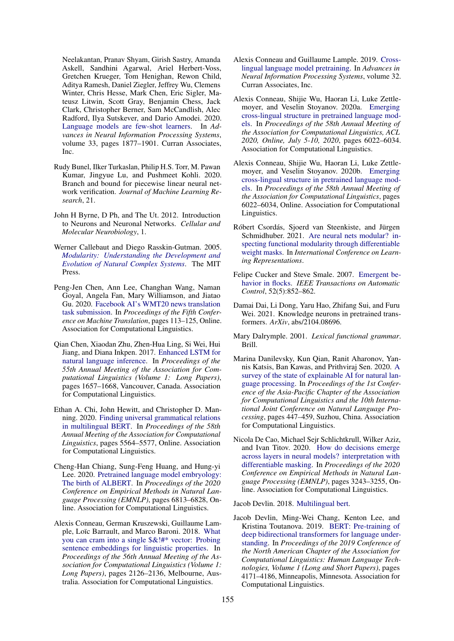Neelakantan, Pranav Shyam, Girish Sastry, Amanda Askell, Sandhini Agarwal, Ariel Herbert-Voss, Gretchen Krueger, Tom Henighan, Rewon Child, Aditya Ramesh, Daniel Ziegler, Jeffrey Wu, Clemens Winter, Chris Hesse, Mark Chen, Eric Sigler, Mateusz Litwin, Scott Gray, Benjamin Chess, Jack Clark, Christopher Berner, Sam McCandlish, Alec Radford, Ilya Sutskever, and Dario Amodei. 2020. [Language models are few-shot learners.](https://proceedings.neurips.cc/paper/2020/file/1457c0d6bfcb4967418bfb8ac142f64a-Paper.pdf) In *Advances in Neural Information Processing Systems*, volume 33, pages 1877–1901. Curran Associates, Inc.

- <span id="page-9-12"></span>Rudy Bunel, Ilker Turkaslan, Philip H.S. Torr, M. Pawan Kumar, Jingyue Lu, and Pushmeet Kohli. 2020. Branch and bound for piecewise linear neural network verification. *Journal of Machine Learning Research*, 21.
- <span id="page-9-13"></span>John H Byrne, D Ph, and The Ut. 2012. Introduction to Neurons and Neuronal Networks. *Cellular and Molecular Neurobiology*, 1.
- <span id="page-9-2"></span>Werner Callebaut and Diego Rasskin-Gutman. 2005. *[Modularity: Understanding the Development and](https://doi.org/10.7551/mitpress/4734.001.0001) [Evolution of Natural Complex Systems](https://doi.org/10.7551/mitpress/4734.001.0001)*. The MIT Press.
- <span id="page-9-1"></span>Peng-Jen Chen, Ann Lee, Changhan Wang, Naman Goyal, Angela Fan, Mary Williamson, and Jiatao Gu. 2020. [Facebook AI's WMT20 news translation](https://aclanthology.org/2020.wmt-1.8) [task submission.](https://aclanthology.org/2020.wmt-1.8) In *Proceedings of the Fifth Conference on Machine Translation*, pages 113–125, Online. Association for Computational Linguistics.
- <span id="page-9-15"></span>Qian Chen, Xiaodan Zhu, Zhen-Hua Ling, Si Wei, Hui Jiang, and Diana Inkpen. 2017. [Enhanced LSTM for](https://doi.org/10.18653/v1/P17-1152) [natural language inference.](https://doi.org/10.18653/v1/P17-1152) In *Proceedings of the 55th Annual Meeting of the Association for Computational Linguistics (Volume 1: Long Papers)*, pages 1657–1668, Vancouver, Canada. Association for Computational Linguistics.
- <span id="page-9-6"></span>Ethan A. Chi, John Hewitt, and Christopher D. Manning. 2020. [Finding universal grammatical relations](https://doi.org/10.18653/v1/2020.acl-main.493) [in multilingual BERT.](https://doi.org/10.18653/v1/2020.acl-main.493) In *Proceedings of the 58th Annual Meeting of the Association for Computational Linguistics*, pages 5564–5577, Online. Association for Computational Linguistics.
- <span id="page-9-11"></span>Cheng-Han Chiang, Sung-Feng Huang, and Hung-yi Lee. 2020. [Pretrained language model embryology:](https://doi.org/10.18653/v1/2020.emnlp-main.553) [The birth of ALBERT.](https://doi.org/10.18653/v1/2020.emnlp-main.553) In *Proceedings of the 2020 Conference on Empirical Methods in Natural Language Processing (EMNLP)*, pages 6813–6828, Online. Association for Computational Linguistics.
- <span id="page-9-5"></span>Alexis Conneau, German Kruszewski, Guillaume Lample, Loïc Barrault, and Marco Baroni. 2018. [What](https://doi.org/10.18653/v1/P18-1198) [you can cram into a single \\$&!#\\* vector: Probing](https://doi.org/10.18653/v1/P18-1198) [sentence embeddings for linguistic properties.](https://doi.org/10.18653/v1/P18-1198) In *Proceedings of the 56th Annual Meeting of the Association for Computational Linguistics (Volume 1: Long Papers)*, pages 2126–2136, Melbourne, Australia. Association for Computational Linguistics.
- <span id="page-9-8"></span>Alexis Conneau and Guillaume Lample. 2019. [Cross](https://proceedings.neurips.cc/paper/2019/file/c04c19c2c2474dbf5f7ac4372c5b9af1-Paper.pdf)[lingual language model pretraining.](https://proceedings.neurips.cc/paper/2019/file/c04c19c2c2474dbf5f7ac4372c5b9af1-Paper.pdf) In *Advances in Neural Information Processing Systems*, volume 32. Curran Associates, Inc.
- <span id="page-9-9"></span>Alexis Conneau, Shijie Wu, Haoran Li, Luke Zettlemoyer, and Veselin Stoyanov. 2020a. [Emerging](https://doi.org/10.18653/v1/2020.acl-main.536) [cross-lingual structure in pretrained language mod](https://doi.org/10.18653/v1/2020.acl-main.536)[els.](https://doi.org/10.18653/v1/2020.acl-main.536) In *Proceedings of the 58th Annual Meeting of the Association for Computational Linguistics, ACL 2020, Online, July 5-10, 2020*, pages 6022–6034. Association for Computational Linguistics.
- <span id="page-9-10"></span>Alexis Conneau, Shijie Wu, Haoran Li, Luke Zettlemoyer, and Veselin Stoyanov. 2020b. [Emerging](https://doi.org/10.18653/v1/2020.acl-main.536) [cross-lingual structure in pretrained language mod](https://doi.org/10.18653/v1/2020.acl-main.536)[els.](https://doi.org/10.18653/v1/2020.acl-main.536) In *Proceedings of the 58th Annual Meeting of the Association for Computational Linguistics*, pages 6022–6034, Online. Association for Computational Linguistics.
- <span id="page-9-14"></span>Róbert Csordás, Sjoerd van Steenkiste, and Jürgen Schmidhuber. 2021. [Are neural nets modular? in](https://openreview.net/forum?id=7uVcpu-gMD)[specting functional modularity through differentiable](https://openreview.net/forum?id=7uVcpu-gMD) [weight masks.](https://openreview.net/forum?id=7uVcpu-gMD) In *International Conference on Learning Representations*.
- <span id="page-9-3"></span>Felipe Cucker and Steve Smale. 2007. [Emergent be](https://doi.org/10.1109/TAC.2007.895842)[havior in flocks.](https://doi.org/10.1109/TAC.2007.895842) *IEEE Transactions on Automatic Control*, 52(5):852–862.
- <span id="page-9-17"></span>Damai Dai, Li Dong, Yaru Hao, Zhifang Sui, and Furu Wei. 2021. Knowledge neurons in pretrained transformers. *ArXiv*, abs/2104.08696.
- <span id="page-9-4"></span>Mary Dalrymple. 2001. *Lexical functional grammar*. Brill.
- <span id="page-9-18"></span>Marina Danilevsky, Kun Qian, Ranit Aharonov, Yannis Katsis, Ban Kawas, and Prithviraj Sen. 2020. [A](https://aclanthology.org/2020.aacl-main.46) [survey of the state of explainable AI for natural lan](https://aclanthology.org/2020.aacl-main.46)[guage processing.](https://aclanthology.org/2020.aacl-main.46) In *Proceedings of the 1st Conference of the Asia-Pacific Chapter of the Association for Computational Linguistics and the 10th International Joint Conference on Natural Language Processing*, pages 447–459, Suzhou, China. Association for Computational Linguistics.
- <span id="page-9-16"></span>Nicola De Cao, Michael Sejr Schlichtkrull, Wilker Aziz, and Ivan Titov. 2020. [How do decisions emerge](https://doi.org/10.18653/v1/2020.emnlp-main.262) [across layers in neural models? interpretation with](https://doi.org/10.18653/v1/2020.emnlp-main.262) [differentiable masking.](https://doi.org/10.18653/v1/2020.emnlp-main.262) In *Proceedings of the 2020 Conference on Empirical Methods in Natural Language Processing (EMNLP)*, pages 3243–3255, Online. Association for Computational Linguistics.

<span id="page-9-7"></span>Jacob Devlin. 2018. [Multilingual bert.](https://github.com/google-research/bert/blob/master/multilingual.md)

<span id="page-9-0"></span>Jacob Devlin, Ming-Wei Chang, Kenton Lee, and Kristina Toutanova. 2019. [BERT: Pre-training of](https://doi.org/10.18653/v1/N19-1423) [deep bidirectional transformers for language under](https://doi.org/10.18653/v1/N19-1423)[standing.](https://doi.org/10.18653/v1/N19-1423) In *Proceedings of the 2019 Conference of the North American Chapter of the Association for Computational Linguistics: Human Language Technologies, Volume 1 (Long and Short Papers)*, pages 4171–4186, Minneapolis, Minnesota. Association for Computational Linguistics.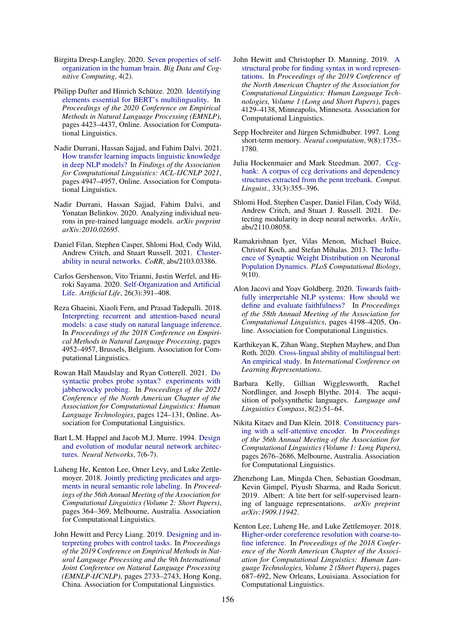- <span id="page-10-1"></span>Birgitta Dresp-Langley. 2020. [Seven properties of self](https://doi.org/10.3390/bdcc4020010)[organization in the human brain.](https://doi.org/10.3390/bdcc4020010) *Big Data and Cognitive Computing*, 4(2).
- <span id="page-10-11"></span>Philipp Dufter and Hinrich Schütze. 2020. [Identifying](https://doi.org/10.18653/v1/2020.emnlp-main.358) [elements essential for BERT's multilinguality.](https://doi.org/10.18653/v1/2020.emnlp-main.358) In *Proceedings of the 2020 Conference on Empirical Methods in Natural Language Processing (EMNLP)*, pages 4423–4437, Online. Association for Computational Linguistics.
- <span id="page-10-15"></span>Nadir Durrani, Hassan Sajjad, and Fahim Dalvi. 2021. [How transfer learning impacts linguistic knowledge](https://doi.org/10.18653/v1/2021.findings-acl.438) [in deep NLP models?](https://doi.org/10.18653/v1/2021.findings-acl.438) In *Findings of the Association for Computational Linguistics: ACL-IJCNLP 2021*, pages 4947–4957, Online. Association for Computational Linguistics.
- <span id="page-10-2"></span>Nadir Durrani, Hassan Sajjad, Fahim Dalvi, and Yonatan Belinkov. 2020. Analyzing individual neurons in pre-trained language models. *arXiv preprint arXiv:2010.02695*.
- <span id="page-10-18"></span>Daniel Filan, Stephen Casper, Shlomi Hod, Cody Wild, Andrew Critch, and Stuart Russell. 2021. [Cluster](http://arxiv.org/abs/2103.03386)[ability in neural networks.](http://arxiv.org/abs/2103.03386) *CoRR*, abs/2103.03386.
- <span id="page-10-0"></span>Carlos Gershenson, Vito Trianni, Justin Werfel, and Hiroki Sayama. 2020. [Self-Organization and Artificial](https://doi.org/10.1162/artl_a_00324) [Life.](https://doi.org/10.1162/artl_a_00324) *Artificial Life*, 26(3):391–408.
- <span id="page-10-20"></span>Reza Ghaeini, Xiaoli Fern, and Prasad Tadepalli. 2018. [Interpreting recurrent and attention-based neural](https://doi.org/10.18653/v1/D18-1537) [models: a case study on natural language inference.](https://doi.org/10.18653/v1/D18-1537) In *Proceedings of the 2018 Conference on Empirical Methods in Natural Language Processing*, pages 4952–4957, Brussels, Belgium. Association for Computational Linguistics.
- <span id="page-10-8"></span>Rowan Hall Maudslay and Ryan Cotterell. 2021. [Do](https://doi.org/10.18653/v1/2021.naacl-main.11) [syntactic probes probe syntax? experiments with](https://doi.org/10.18653/v1/2021.naacl-main.11) [jabberwocky probing.](https://doi.org/10.18653/v1/2021.naacl-main.11) In *Proceedings of the 2021 Conference of the North American Chapter of the Association for Computational Linguistics: Human Language Technologies*, pages 124–131, Online. Association for Computational Linguistics.
- <span id="page-10-19"></span>Bart L.M. Happel and Jacob M.J. Murre. 1994. [Design](https://doi.org/10.1016/S0893-6080(05)80155-8) [and evolution of modular neural network architec](https://doi.org/10.1016/S0893-6080(05)80155-8)[tures.](https://doi.org/10.1016/S0893-6080(05)80155-8) *Neural Networks*, 7(6-7).
- <span id="page-10-6"></span>Luheng He, Kenton Lee, Omer Levy, and Luke Zettlemoyer. 2018. [Jointly predicting predicates and argu](https://doi.org/10.18653/v1/P18-2058)[ments in neural semantic role labeling.](https://doi.org/10.18653/v1/P18-2058) In *Proceedings of the 56th Annual Meeting of the Association for Computational Linguistics (Volume 2: Short Papers)*, pages 364–369, Melbourne, Australia. Association for Computational Linguistics.
- <span id="page-10-4"></span>John Hewitt and Percy Liang. 2019. [Designing and in](https://doi.org/10.18653/v1/D19-1275)[terpreting probes with control tasks.](https://doi.org/10.18653/v1/D19-1275) In *Proceedings of the 2019 Conference on Empirical Methods in Natural Language Processing and the 9th International Joint Conference on Natural Language Processing (EMNLP-IJCNLP)*, pages 2733–2743, Hong Kong, China. Association for Computational Linguistics.
- <span id="page-10-3"></span>John Hewitt and Christopher D. Manning. 2019. [A](https://doi.org/10.18653/v1/N19-1419) [structural probe for finding syntax in word represen](https://doi.org/10.18653/v1/N19-1419)[tations.](https://doi.org/10.18653/v1/N19-1419) In *Proceedings of the 2019 Conference of the North American Chapter of the Association for Computational Linguistics: Human Language Technologies, Volume 1 (Long and Short Papers)*, pages 4129–4138, Minneapolis, Minnesota. Association for Computational Linguistics.
- <span id="page-10-12"></span>Sepp Hochreiter and Jürgen Schmidhuber. 1997. Long short-term memory. *Neural computation*, 9(8):1735– 1780.
- <span id="page-10-9"></span>Julia Hockenmaier and Mark Steedman. 2007. [Ccg](https://doi.org/10.1162/coli.2007.33.3.355)[bank: A corpus of ccg derivations and dependency](https://doi.org/10.1162/coli.2007.33.3.355) [structures extracted from the penn treebank.](https://doi.org/10.1162/coli.2007.33.3.355) *Comput. Linguist.*, 33(3):355–396.
- <span id="page-10-17"></span>Shlomi Hod, Stephen Casper, Daniel Filan, Cody Wild, Andrew Critch, and Stuart J. Russell. 2021. Detecting modularity in deep neural networks. *ArXiv*, abs/2110.08058.
- <span id="page-10-16"></span>Ramakrishnan Iyer, Vilas Menon, Michael Buice, Christof Koch, and Stefan Mihalas. 2013. [The Influ](https://doi.org/10.1371/journal.pcbi.1003248)[ence of Synaptic Weight Distribution on Neuronal](https://doi.org/10.1371/journal.pcbi.1003248) [Population Dynamics.](https://doi.org/10.1371/journal.pcbi.1003248) *PLoS Computational Biology*, 9(10).
- <span id="page-10-21"></span>Alon Jacovi and Yoav Goldberg. 2020. [Towards faith](https://doi.org/10.18653/v1/2020.acl-main.386)[fully interpretable NLP systems: How should we](https://doi.org/10.18653/v1/2020.acl-main.386) [define and evaluate faithfulness?](https://doi.org/10.18653/v1/2020.acl-main.386) In *Proceedings of the 58th Annual Meeting of the Association for Computational Linguistics*, pages 4198–4205, Online. Association for Computational Linguistics.
- <span id="page-10-10"></span>Karthikeyan K, Zihan Wang, Stephen Mayhew, and Dan Roth. 2020. [Cross-lingual ability of multilingual bert:](https://openreview.net/forum?id=HJeT3yrtDr) [An empirical study.](https://openreview.net/forum?id=HJeT3yrtDr) In *International Conference on Learning Representations*.
- <span id="page-10-14"></span>Barbara Kelly, Gillian Wigglesworth, Rachel Nordlinger, and Joseph Blythe. 2014. The acquisition of polysynthetic languages. *Language and Linguistics Compass*, 8(2):51–64.
- <span id="page-10-5"></span>Nikita Kitaev and Dan Klein. 2018. [Constituency pars](https://doi.org/10.18653/v1/P18-1249)[ing with a self-attentive encoder.](https://doi.org/10.18653/v1/P18-1249) In *Proceedings of the 56th Annual Meeting of the Association for Computational Linguistics (Volume 1: Long Papers)*, pages 2676–2686, Melbourne, Australia. Association for Computational Linguistics.
- <span id="page-10-13"></span>Zhenzhong Lan, Mingda Chen, Sebastian Goodman, Kevin Gimpel, Piyush Sharma, and Radu Soricut. 2019. Albert: A lite bert for self-supervised learning of language representations. *arXiv preprint arXiv:1909.11942*.
- <span id="page-10-7"></span>Kenton Lee, Luheng He, and Luke Zettlemoyer. 2018. [Higher-order coreference resolution with coarse-to](https://doi.org/10.18653/v1/N18-2108)[fine inference.](https://doi.org/10.18653/v1/N18-2108) In *Proceedings of the 2018 Conference of the North American Chapter of the Association for Computational Linguistics: Human Language Technologies, Volume 2 (Short Papers)*, pages 687–692, New Orleans, Louisiana. Association for Computational Linguistics.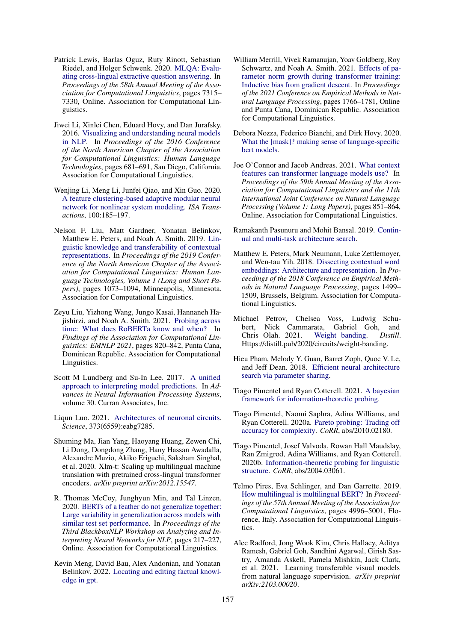- <span id="page-11-10"></span>Patrick Lewis, Barlas Oguz, Ruty Rinott, Sebastian Riedel, and Holger Schwenk. 2020. [MLQA: Evalu](https://doi.org/10.18653/v1/2020.acl-main.653)[ating cross-lingual extractive question answering.](https://doi.org/10.18653/v1/2020.acl-main.653) In *Proceedings of the 58th Annual Meeting of the Association for Computational Linguistics*, pages 7315– 7330, Online. Association for Computational Linguistics.
- <span id="page-11-19"></span>Jiwei Li, Xinlei Chen, Eduard Hovy, and Dan Jurafsky. 2016. [Visualizing and understanding neural models](https://doi.org/10.18653/v1/N16-1082) [in NLP.](https://doi.org/10.18653/v1/N16-1082) In *Proceedings of the 2016 Conference of the North American Chapter of the Association for Computational Linguistics: Human Language Technologies*, pages 681–691, San Diego, California. Association for Computational Linguistics.
- <span id="page-11-15"></span>Wenjing Li, Meng Li, Junfei Qiao, and Xin Guo. 2020. [A feature clustering-based adaptive modular neural](https://doi.org/https://doi.org/10.1016/j.isatra.2019.11.015) [network for nonlinear system modeling.](https://doi.org/https://doi.org/10.1016/j.isatra.2019.11.015) *ISA Transactions*, 100:185–197.
- <span id="page-11-1"></span>Nelson F. Liu, Matt Gardner, Yonatan Belinkov, Matthew E. Peters, and Noah A. Smith. 2019. [Lin](https://doi.org/10.18653/v1/N19-1112)[guistic knowledge and transferability of contextual](https://doi.org/10.18653/v1/N19-1112) [representations.](https://doi.org/10.18653/v1/N19-1112) In *Proceedings of the 2019 Conference of the North American Chapter of the Association for Computational Linguistics: Human Language Technologies, Volume 1 (Long and Short Papers)*, pages 1073–1094, Minneapolis, Minnesota. Association for Computational Linguistics.
- <span id="page-11-11"></span>Zeyu Liu, Yizhong Wang, Jungo Kasai, Hannaneh Hajishirzi, and Noah A. Smith. 2021. [Probing across](https://aclanthology.org/2021.findings-emnlp.71) [time: What does RoBERTa know and when?](https://aclanthology.org/2021.findings-emnlp.71) In *Findings of the Association for Computational Linguistics: EMNLP 2021*, pages 820–842, Punta Cana, Dominican Republic. Association for Computational Linguistics.
- <span id="page-11-21"></span>Scott M Lundberg and Su-In Lee. 2017. [A unified](https://proceedings.neurips.cc/paper/2017/file/8a20a8621978632d76c43dfd28b67767-Paper.pdf) [approach to interpreting model predictions.](https://proceedings.neurips.cc/paper/2017/file/8a20a8621978632d76c43dfd28b67767-Paper.pdf) In *Advances in Neural Information Processing Systems*, volume 30. Curran Associates, Inc.
- <span id="page-11-13"></span>Liqun Luo. 2021. [Architectures of neuronal circuits.](https://doi.org/10.1126/science.abg7285) *Science*, 373(6559):eabg7285.
- <span id="page-11-0"></span>Shuming Ma, Jian Yang, Haoyang Huang, Zewen Chi, Li Dong, Dongdong Zhang, Hany Hassan Awadalla, Alexandre Muzio, Akiko Eriguchi, Saksham Singhal, et al. 2020. Xlm-t: Scaling up multilingual machine translation with pretrained cross-lingual transformer encoders. *arXiv preprint arXiv:2012.15547*.
- <span id="page-11-3"></span>R. Thomas McCoy, Junghyun Min, and Tal Linzen. 2020. [BERTs of a feather do not generalize together:](https://doi.org/10.18653/v1/2020.blackboxnlp-1.21) [Large variability in generalization across models with](https://doi.org/10.18653/v1/2020.blackboxnlp-1.21) [similar test set performance.](https://doi.org/10.18653/v1/2020.blackboxnlp-1.21) In *Proceedings of the Third BlackboxNLP Workshop on Analyzing and Interpreting Neural Networks for NLP*, pages 217–227, Online. Association for Computational Linguistics.
- <span id="page-11-20"></span>Kevin Meng, David Bau, Alex Andonian, and Yonatan Belinkov. 2022. [Locating and editing factual knowl](http://arxiv.org/abs/2202.05262)[edge in gpt.](http://arxiv.org/abs/2202.05262)
- <span id="page-11-18"></span>William Merrill, Vivek Ramanujan, Yoav Goldberg, Roy Schwartz, and Noah A. Smith. 2021. [Effects of pa](https://aclanthology.org/2021.emnlp-main.133)[rameter norm growth during transformer training:](https://aclanthology.org/2021.emnlp-main.133) [Inductive bias from gradient descent.](https://aclanthology.org/2021.emnlp-main.133) In *Proceedings of the 2021 Conference on Empirical Methods in Natural Language Processing*, pages 1766–1781, Online and Punta Cana, Dominican Republic. Association for Computational Linguistics.
- <span id="page-11-9"></span>Debora Nozza, Federico Bianchi, and Dirk Hovy. 2020. [What the \[mask\]? making sense of language-specific](http://arxiv.org/abs/2003.02912) [bert models.](http://arxiv.org/abs/2003.02912)
- <span id="page-11-12"></span>Joe O'Connor and Jacob Andreas. 2021. [What context](https://doi.org/10.18653/v1/2021.acl-long.70) [features can transformer language models use?](https://doi.org/10.18653/v1/2021.acl-long.70) In *Proceedings of the 59th Annual Meeting of the Association for Computational Linguistics and the 11th International Joint Conference on Natural Language Processing (Volume 1: Long Papers)*, pages 851–864, Online. Association for Computational Linguistics.
- <span id="page-11-17"></span>Ramakanth Pasunuru and Mohit Bansal. 2019. [Contin](http://arxiv.org/abs/1906.05226)[ual and multi-task architecture search.](http://arxiv.org/abs/1906.05226)
- <span id="page-11-4"></span>Matthew E. Peters, Mark Neumann, Luke Zettlemoyer, and Wen-tau Yih. 2018. [Dissecting contextual word](https://doi.org/10.18653/v1/D18-1179) [embeddings: Architecture and representation.](https://doi.org/10.18653/v1/D18-1179) In *Proceedings of the 2018 Conference on Empirical Methods in Natural Language Processing*, pages 1499– 1509, Brussels, Belgium. Association for Computational Linguistics.
- <span id="page-11-14"></span>Michael Petrov, Chelsea Voss, Ludwig Schubert, Nick Cammarata, Gabriel Goh, and Chris Olah. 2021. [Weight banding.](https://doi.org/10.23915/distill.00024.009) *Distill*. Https://distill.pub/2020/circuits/weight-banding.
- <span id="page-11-16"></span>Hieu Pham, Melody Y. Guan, Barret Zoph, Quoc V. Le, and Jeff Dean. 2018. [Efficient neural architecture](http://arxiv.org/abs/1802.03268) [search via parameter sharing.](http://arxiv.org/abs/1802.03268)
- <span id="page-11-6"></span>Tiago Pimentel and Ryan Cotterell. 2021. [A bayesian](http://arxiv.org/abs/2109.03853) [framework for information-theoretic probing.](http://arxiv.org/abs/2109.03853)
- <span id="page-11-7"></span>Tiago Pimentel, Naomi Saphra, Adina Williams, and Ryan Cotterell. 2020a. [Pareto probing: Trading off](http://arxiv.org/abs/2010.02180) [accuracy for complexity.](http://arxiv.org/abs/2010.02180) *CoRR*, abs/2010.02180.
- <span id="page-11-5"></span>Tiago Pimentel, Josef Valvoda, Rowan Hall Maudslay, Ran Zmigrod, Adina Williams, and Ryan Cotterell. 2020b. [Information-theoretic probing for linguistic](http://arxiv.org/abs/2004.03061) [structure.](http://arxiv.org/abs/2004.03061) *CoRR*, abs/2004.03061.
- <span id="page-11-8"></span>Telmo Pires, Eva Schlinger, and Dan Garrette. 2019. [How multilingual is multilingual BERT?](https://doi.org/10.18653/v1/P19-1493) In *Proceedings of the 57th Annual Meeting of the Association for Computational Linguistics*, pages 4996–5001, Florence, Italy. Association for Computational Linguistics.
- <span id="page-11-2"></span>Alec Radford, Jong Wook Kim, Chris Hallacy, Aditya Ramesh, Gabriel Goh, Sandhini Agarwal, Girish Sastry, Amanda Askell, Pamela Mishkin, Jack Clark, et al. 2021. Learning transferable visual models from natural language supervision. *arXiv preprint arXiv:2103.00020*.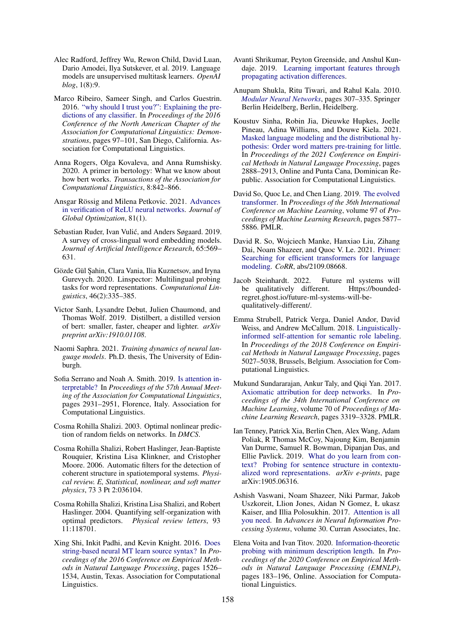- <span id="page-12-0"></span>Alec Radford, Jeffrey Wu, Rewon Child, David Luan, Dario Amodei, Ilya Sutskever, et al. 2019. Language models are unsupervised multitask learners. *OpenAI blog*, 1(8):9.
- <span id="page-12-23"></span>Marco Ribeiro, Sameer Singh, and Carlos Guestrin. 2016. ["why should I trust you?": Explaining the pre](https://doi.org/10.18653/v1/N16-3020)[dictions of any classifier.](https://doi.org/10.18653/v1/N16-3020) In *Proceedings of the 2016 Conference of the North American Chapter of the Association for Computational Linguistics: Demonstrations*, pages 97–101, San Diego, California. Association for Computational Linguistics.
- <span id="page-12-6"></span>Anna Rogers, Olga Kovaleva, and Anna Rumshisky. 2020. A primer in bertology: What we know about how bert works. *Transactions of the Association for Computational Linguistics*, 8:842–866.
- <span id="page-12-12"></span>Ansgar Rössig and Milena Petkovic. 2021. [Advances](https://doi.org/10.1007/s10898-020-00949-1) [in verification of ReLU neural networks.](https://doi.org/10.1007/s10898-020-00949-1) *Journal of Global Optimization*, 81(1).
- <span id="page-12-8"></span>Sebastian Ruder, Ivan Vulić, and Anders Søgaard. 2019. A survey of cross-lingual word embedding models. *Journal of Artificial Intelligence Research*, 65:569– 631.
- <span id="page-12-5"></span>Gözde Gül Şahin, Clara Vania, Ilia Kuznetsov, and Iryna Gurevych. 2020. Linspector: Multilingual probing tasks for word representations. *Computational Linguistics*, 46(2):335–385.
- <span id="page-12-11"></span>Victor Sanh, Lysandre Debut, Julien Chaumond, and Thomas Wolf. 2019. Distilbert, a distilled version of bert: smaller, faster, cheaper and lighter. *arXiv preprint arXiv:1910.01108*.
- <span id="page-12-9"></span>Naomi Saphra. 2021. *Training dynamics of neural language models*. Ph.D. thesis, The University of Edinburgh.
- <span id="page-12-20"></span>Sofia Serrano and Noah A. Smith. 2019. [Is attention in](https://doi.org/10.18653/v1/P19-1282)[terpretable?](https://doi.org/10.18653/v1/P19-1282) In *Proceedings of the 57th Annual Meeting of the Association for Computational Linguistics*, pages 2931–2951, Florence, Italy. Association for Computational Linguistics.
- <span id="page-12-18"></span>Cosma Rohilla Shalizi. 2003. Optimal nonlinear prediction of random fields on networks. In *DMCS*.
- <span id="page-12-16"></span>Cosma Rohilla Shalizi, Robert Haslinger, Jean-Baptiste Rouquier, Kristina Lisa Klinkner, and Cristopher Moore. 2006. Automatic filters for the detection of coherent structure in spatiotemporal systems. *Physical review. E, Statistical, nonlinear, and soft matter physics*, 73 3 Pt 2:036104.
- <span id="page-12-17"></span>Cosma Rohilla Shalizi, Kristina Lisa Shalizi, and Robert Haslinger. 2004. Quantifying self-organization with optimal predictors. *Physical review letters*, 93 11:118701.
- <span id="page-12-7"></span>Xing Shi, Inkit Padhi, and Kevin Knight. 2016. [Does](https://doi.org/10.18653/v1/D16-1159) [string-based neural MT learn source syntax?](https://doi.org/10.18653/v1/D16-1159) In *Proceedings of the 2016 Conference on Empirical Methods in Natural Language Processing*, pages 1526– 1534, Austin, Texas. Association for Computational Linguistics.
- <span id="page-12-22"></span>Avanti Shrikumar, Peyton Greenside, and Anshul Kundaje. 2019. [Learning important features through](http://arxiv.org/abs/1704.02685) [propagating activation differences.](http://arxiv.org/abs/1704.02685)
- <span id="page-12-15"></span>Anupam Shukla, Ritu Tiwari, and Rahul Kala. 2010. *[Modular Neural Networks](https://doi.org/10.1007/978-3-642-14344-1_14)*, pages 307–335. Springer Berlin Heidelberg, Berlin, Heidelberg.
- <span id="page-12-10"></span>Koustuv Sinha, Robin Jia, Dieuwke Hupkes, Joelle Pineau, Adina Williams, and Douwe Kiela. 2021. [Masked language modeling and the distributional hy](https://aclanthology.org/2021.emnlp-main.230)[pothesis: Order word matters pre-training for little.](https://aclanthology.org/2021.emnlp-main.230) In *Proceedings of the 2021 Conference on Empirical Methods in Natural Language Processing*, pages 2888–2913, Online and Punta Cana, Dominican Republic. Association for Computational Linguistics.
- <span id="page-12-13"></span>David So, Quoc Le, and Chen Liang. 2019. [The evolved](https://proceedings.mlr.press/v97/so19a.html) [transformer.](https://proceedings.mlr.press/v97/so19a.html) In *Proceedings of the 36th International Conference on Machine Learning*, volume 97 of *Proceedings of Machine Learning Research*, pages 5877– 5886. PMLR.
- <span id="page-12-14"></span>David R. So, Wojciech Manke, Hanxiao Liu, Zihang Dai, Noam Shazeer, and Quoc V. Le. 2021. [Primer:](http://arxiv.org/abs/2109.08668) [Searching for efficient transformers for language](http://arxiv.org/abs/2109.08668) [modeling.](http://arxiv.org/abs/2109.08668) *CoRR*, abs/2109.08668.
- <span id="page-12-1"></span>Jacob Steinhardt. 2022. Future ml systems will be qualitatively different. Https://boundedregret.ghost.io/future-ml-systems-will-bequalitatively-different/.
- <span id="page-12-4"></span>Emma Strubell, Patrick Verga, Daniel Andor, David Weiss, and Andrew McCallum. 2018. [Linguistically](https://doi.org/10.18653/v1/D18-1548)[informed self-attention for semantic role labeling.](https://doi.org/10.18653/v1/D18-1548) In *Proceedings of the 2018 Conference on Empirical Methods in Natural Language Processing*, pages 5027–5038, Brussels, Belgium. Association for Computational Linguistics.
- <span id="page-12-21"></span>Mukund Sundararajan, Ankur Taly, and Qiqi Yan. 2017. [Axiomatic attribution for deep networks.](https://proceedings.mlr.press/v70/sundararajan17a.html) In *Proceedings of the 34th International Conference on Machine Learning*, volume 70 of *Proceedings of Machine Learning Research*, pages 3319–3328. PMLR.
- <span id="page-12-2"></span>Ian Tenney, Patrick Xia, Berlin Chen, Alex Wang, Adam Poliak, R Thomas McCoy, Najoung Kim, Benjamin Van Durme, Samuel R. Bowman, Dipanjan Das, and Ellie Pavlick. 2019. [What do you learn from con](http://arxiv.org/abs/1905.06316)[text? Probing for sentence structure in contextu](http://arxiv.org/abs/1905.06316)[alized word representations.](http://arxiv.org/abs/1905.06316) *arXiv e-prints*, page arXiv:1905.06316.
- <span id="page-12-19"></span>Ashish Vaswani, Noam Shazeer, Niki Parmar, Jakob Uszkoreit, Llion Jones, Aidan N Gomez, Ł ukasz Kaiser, and Illia Polosukhin. 2017. [Attention is all](https://proceedings.neurips.cc/paper/2017/file/3f5ee243547dee91fbd053c1c4a845aa-Paper.pdf) [you need.](https://proceedings.neurips.cc/paper/2017/file/3f5ee243547dee91fbd053c1c4a845aa-Paper.pdf) In *Advances in Neural Information Processing Systems*, volume 30. Curran Associates, Inc.
- <span id="page-12-3"></span>Elena Voita and Ivan Titov. 2020. [Information-theoretic](https://doi.org/10.18653/v1/2020.emnlp-main.14) [probing with minimum description length.](https://doi.org/10.18653/v1/2020.emnlp-main.14) In *Proceedings of the 2020 Conference on Empirical Methods in Natural Language Processing (EMNLP)*, pages 183–196, Online. Association for Computational Linguistics.